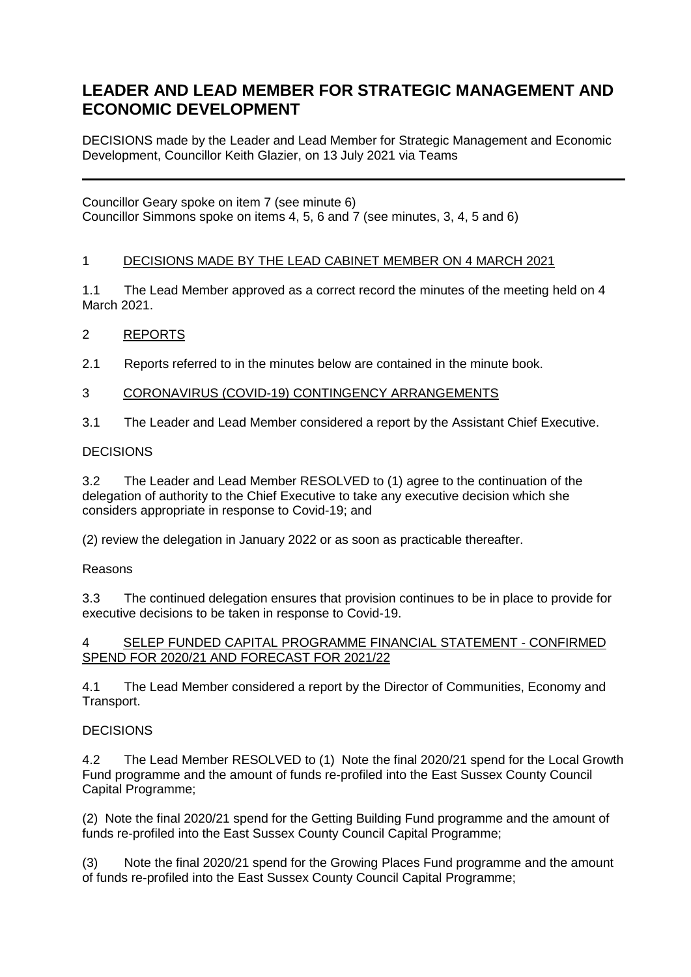# **LEADER AND LEAD MEMBER FOR STRATEGIC MANAGEMENT AND ECONOMIC DEVELOPMENT**

DECISIONS made by the Leader and Lead Member for Strategic Management and Economic Development, Councillor Keith Glazier, on 13 July 2021 via Teams

Councillor Geary spoke on item 7 (see minute 6) Councillor Simmons spoke on items 4, 5, 6 and 7 (see minutes, 3, 4, 5 and 6)

## 1 DECISIONS MADE BY THE LEAD CABINET MEMBER ON 4 MARCH 2021

1.1 The Lead Member approved as a correct record the minutes of the meeting held on 4 March 2021.

# 2 REPORTS

2.1 Reports referred to in the minutes below are contained in the minute book.

#### 3 CORONAVIRUS (COVID-19) CONTINGENCY ARRANGEMENTS

3.1 The Leader and Lead Member considered a report by the Assistant Chief Executive.

#### **DECISIONS**

3.2 The Leader and Lead Member RESOLVED to (1) agree to the continuation of the delegation of authority to the Chief Executive to take any executive decision which she considers appropriate in response to Covid-19; and

(2) review the delegation in January 2022 or as soon as practicable thereafter.

#### Reasons

3.3 The continued delegation ensures that provision continues to be in place to provide for executive decisions to be taken in response to Covid-19.

#### 4 SELEP FUNDED CAPITAL PROGRAMME FINANCIAL STATEMENT - CONFIRMED SPEND FOR 2020/21 AND FORECAST FOR 2021/22

4.1 The Lead Member considered a report by the Director of Communities, Economy and Transport.

#### **DECISIONS**

4.2 The Lead Member RESOLVED to (1) Note the final 2020/21 spend for the Local Growth Fund programme and the amount of funds re-profiled into the East Sussex County Council Capital Programme;

(2) Note the final 2020/21 spend for the Getting Building Fund programme and the amount of funds re-profiled into the East Sussex County Council Capital Programme;

(3) Note the final 2020/21 spend for the Growing Places Fund programme and the amount of funds re-profiled into the East Sussex County Council Capital Programme;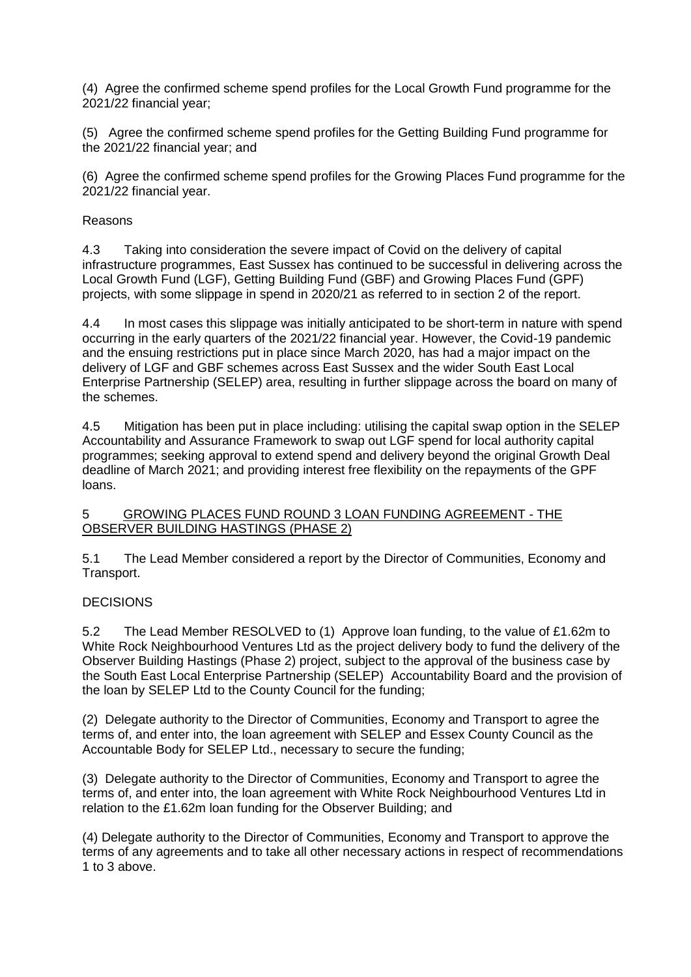(4) Agree the confirmed scheme spend profiles for the Local Growth Fund programme for the 2021/22 financial year;

(5) Agree the confirmed scheme spend profiles for the Getting Building Fund programme for the 2021/22 financial year; and

(6) Agree the confirmed scheme spend profiles for the Growing Places Fund programme for the 2021/22 financial year.

#### Reasons

4.3 Taking into consideration the severe impact of Covid on the delivery of capital infrastructure programmes, East Sussex has continued to be successful in delivering across the Local Growth Fund (LGF), Getting Building Fund (GBF) and Growing Places Fund (GPF) projects, with some slippage in spend in 2020/21 as referred to in section 2 of the report.

4.4 In most cases this slippage was initially anticipated to be short-term in nature with spend occurring in the early quarters of the 2021/22 financial year. However, the Covid-19 pandemic and the ensuing restrictions put in place since March 2020, has had a major impact on the delivery of LGF and GBF schemes across East Sussex and the wider South East Local Enterprise Partnership (SELEP) area, resulting in further slippage across the board on many of the schemes.

4.5 Mitigation has been put in place including: utilising the capital swap option in the SELEP Accountability and Assurance Framework to swap out LGF spend for local authority capital programmes; seeking approval to extend spend and delivery beyond the original Growth Deal deadline of March 2021; and providing interest free flexibility on the repayments of the GPF loans.

5 GROWING PLACES FUND ROUND 3 LOAN FUNDING AGREEMENT - THE OBSERVER BUILDING HASTINGS (PHASE 2)

5.1 The Lead Member considered a report by the Director of Communities, Economy and Transport.

#### **DECISIONS**

5.2 The Lead Member RESOLVED to (1) Approve loan funding, to the value of £1.62m to White Rock Neighbourhood Ventures Ltd as the project delivery body to fund the delivery of the Observer Building Hastings (Phase 2) project, subject to the approval of the business case by the South East Local Enterprise Partnership (SELEP) Accountability Board and the provision of the loan by SELEP Ltd to the County Council for the funding;

(2) Delegate authority to the Director of Communities, Economy and Transport to agree the terms of, and enter into, the loan agreement with SELEP and Essex County Council as the Accountable Body for SELEP Ltd., necessary to secure the funding;

(3) Delegate authority to the Director of Communities, Economy and Transport to agree the terms of, and enter into, the loan agreement with White Rock Neighbourhood Ventures Ltd in relation to the £1.62m loan funding for the Observer Building; and

(4) Delegate authority to the Director of Communities, Economy and Transport to approve the terms of any agreements and to take all other necessary actions in respect of recommendations 1 to 3 above.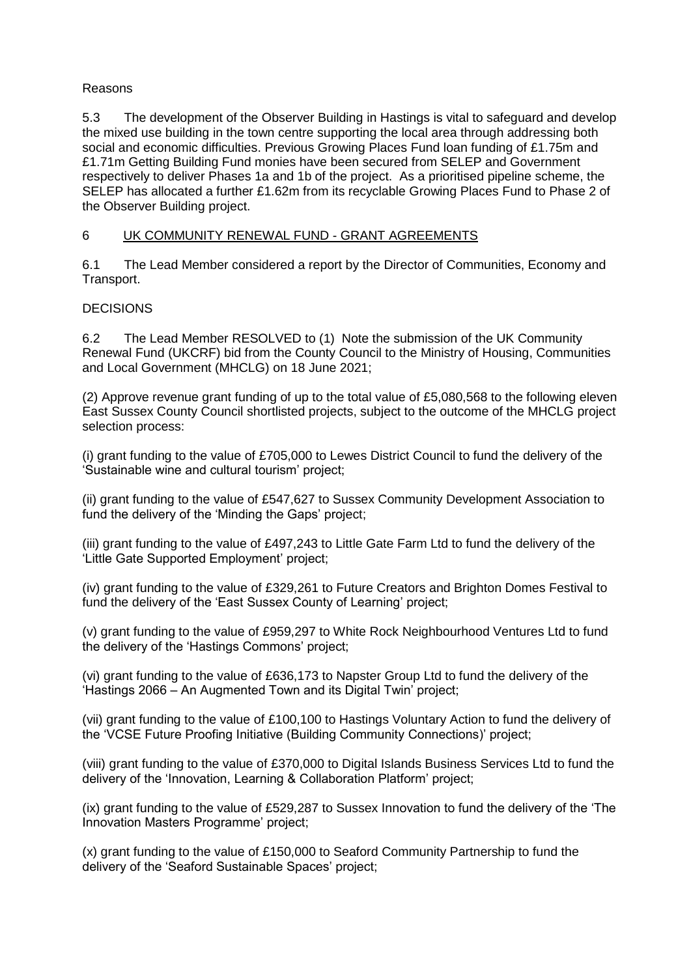#### Reasons

5.3 The development of the Observer Building in Hastings is vital to safeguard and develop the mixed use building in the town centre supporting the local area through addressing both social and economic difficulties. Previous Growing Places Fund loan funding of £1.75m and £1.71m Getting Building Fund monies have been secured from SELEP and Government respectively to deliver Phases 1a and 1b of the project. As a prioritised pipeline scheme, the SELEP has allocated a further £1.62m from its recyclable Growing Places Fund to Phase 2 of the Observer Building project.

# 6 UK COMMUNITY RENEWAL FUND - GRANT AGREEMENTS

6.1 The Lead Member considered a report by the Director of Communities, Economy and Transport.

## **DECISIONS**

6.2 The Lead Member RESOLVED to (1) Note the submission of the UK Community Renewal Fund (UKCRF) bid from the County Council to the Ministry of Housing, Communities and Local Government (MHCLG) on 18 June 2021;

(2) Approve revenue grant funding of up to the total value of £5,080,568 to the following eleven East Sussex County Council shortlisted projects, subject to the outcome of the MHCLG project selection process:

(i) grant funding to the value of £705,000 to Lewes District Council to fund the delivery of the 'Sustainable wine and cultural tourism' project;

(ii) grant funding to the value of £547,627 to Sussex Community Development Association to fund the delivery of the 'Minding the Gaps' project;

(iii) grant funding to the value of £497,243 to Little Gate Farm Ltd to fund the delivery of the 'Little Gate Supported Employment' project;

(iv) grant funding to the value of £329,261 to Future Creators and Brighton Domes Festival to fund the delivery of the 'East Sussex County of Learning' project;

(v) grant funding to the value of £959,297 to White Rock Neighbourhood Ventures Ltd to fund the delivery of the 'Hastings Commons' project;

(vi) grant funding to the value of £636,173 to Napster Group Ltd to fund the delivery of the 'Hastings 2066 – An Augmented Town and its Digital Twin' project;

(vii) grant funding to the value of £100,100 to Hastings Voluntary Action to fund the delivery of the 'VCSE Future Proofing Initiative (Building Community Connections)' project;

(viii) grant funding to the value of £370,000 to Digital Islands Business Services Ltd to fund the delivery of the 'Innovation, Learning & Collaboration Platform' project;

(ix) grant funding to the value of £529,287 to Sussex Innovation to fund the delivery of the 'The Innovation Masters Programme' project;

(x) grant funding to the value of £150,000 to Seaford Community Partnership to fund the delivery of the 'Seaford Sustainable Spaces' project;